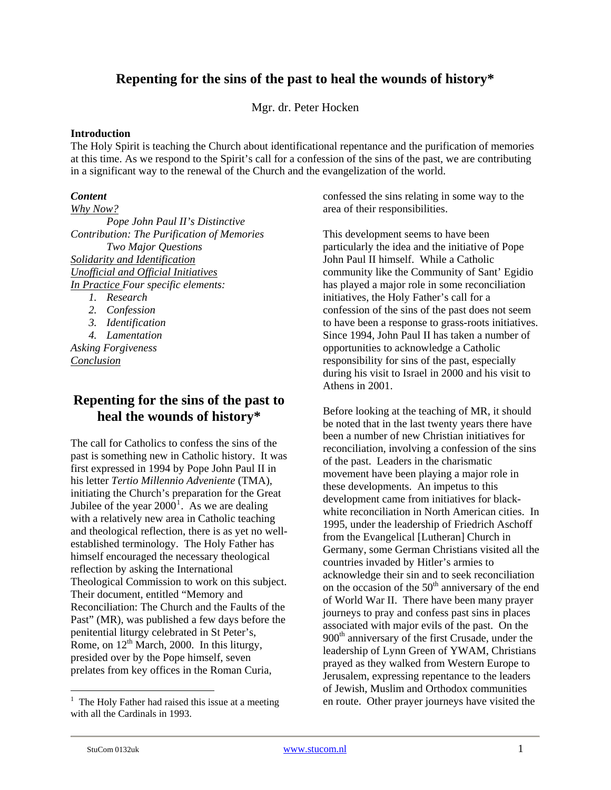# **Repenting for the sins of the past to heal the wounds of history\***

Mgr. dr. Peter Hocken

### **Introduction**

The Holy Spirit is teaching the Church about identificational repentance and the purification of memories at this time. As we respond to the Spirit's call for a confession of the sins of the past, we are contributing in a significant way to the renewal of the Church and the evangelization of the world.

### *Content*

*Why Now? Pope John Paul II's Distinctive Contribution: The Purification of Memories Two Major Questions Solidarity and Identification Unofficial and Official Initiatives In Practice Four specific elements: 1. Research* 

- 
- *2. Confession*
- *3. Identification*

*4. Lamentation Asking Forgiveness Conclusion*

## **Repenting for the sins of the past to heal the wounds of history\***

The call for Catholics to confess the sins of the past is something new in Catholic history. It was first expressed in 1994 by Pope John Paul II in his letter *Tertio Millennio Adveniente* (TMA), initiating the Church's preparation for the Great Jubilee of the year  $2000^1$  $2000^1$ . As we are dealing with a relatively new area in Catholic teaching and theological reflection, there is as yet no wellestablished terminology. The Holy Father has himself encouraged the necessary theological reflection by asking the International Theological Commission to work on this subject. Their document, entitled "Memory and Reconciliation: The Church and the Faults of the Past" (MR), was published a few days before the penitential liturgy celebrated in St Peter's, Rome, on  $12<sup>th</sup>$  March, 2000. In this liturgy, presided over by the Pope himself, seven prelates from key offices in the Roman Curia,

confessed the sins relating in some way to the area of their responsibilities.

This development seems to have been particularly the idea and the initiative of Pope John Paul II himself. While a Catholic community like the Community of Sant' Egidio has played a major role in some reconciliation initiatives, the Holy Father's call for a confession of the sins of the past does not seem to have been a response to grass-roots initiatives. Since 1994, John Paul II has taken a number of opportunities to acknowledge a Catholic responsibility for sins of the past, especially during his visit to Israel in 2000 and his visit to Athens in 2001.

Before looking at the teaching of MR, it should be noted that in the last twenty years there have been a number of new Christian initiatives for reconciliation, involving a confession of the sins of the past. Leaders in the charismatic movement have been playing a major role in these developments. An impetus to this development came from initiatives for blackwhite reconciliation in North American cities. In 1995, under the leadership of Friedrich Aschoff from the Evangelical [Lutheran] Church in Germany, some German Christians visited all the countries invaded by Hitler's armies to acknowledge their sin and to seek reconciliation on the occasion of the  $50<sup>th</sup>$  anniversary of the end of World War II. There have been many prayer journeys to pray and confess past sins in places associated with major evils of the past. On the 900<sup>th</sup> anniversary of the first Crusade, under the leadership of Lynn Green of YWAM, Christians prayed as they walked from Western Europe to Jerusalem, expressing repentance to the leaders of Jewish, Muslim and Orthodox communities en route. Other prayer journeys have visited the

1

<span id="page-0-0"></span><sup>&</sup>lt;sup>1</sup> The Holy Father had raised this issue at a meeting with all the Cardinals in 1993.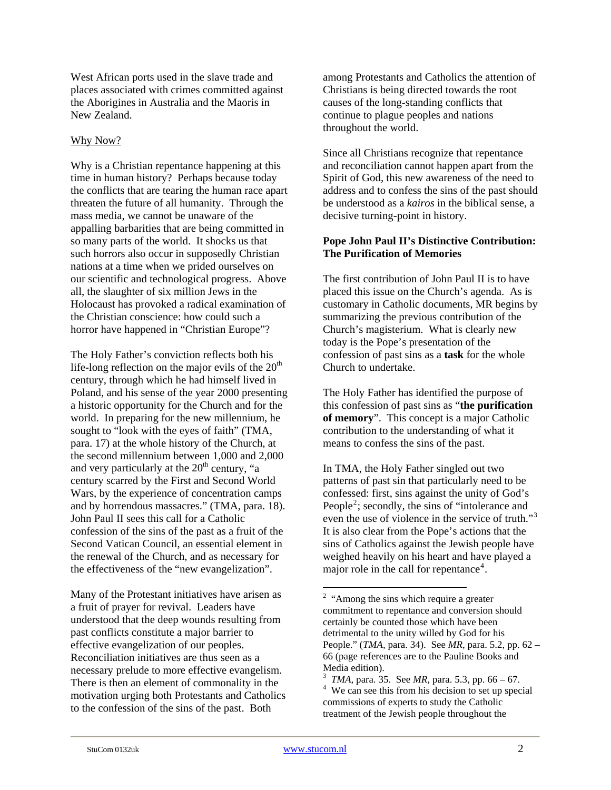West African ports used in the slave trade and places associated with crimes committed against the Aborigines in Australia and the Maoris in New Zealand.

### Why Now?

Why is a Christian repentance happening at this time in human history? Perhaps because today the conflicts that are tearing the human race apart threaten the future of all humanity. Through the mass media, we cannot be unaware of the appalling barbarities that are being committed in so many parts of the world. It shocks us that such horrors also occur in supposedly Christian nations at a time when we prided ourselves on our scientific and technological progress. Above all, the slaughter of six million Jews in the Holocaust has provoked a radical examination of the Christian conscience: how could such a horror have happened in "Christian Europe"?

The Holy Father's conviction reflects both his life-long reflection on the major evils of the  $20<sup>th</sup>$ century, through which he had himself lived in Poland, and his sense of the year 2000 presenting a historic opportunity for the Church and for the world. In preparing for the new millennium, he sought to "look with the eyes of faith" (TMA, para. 17) at the whole history of the Church, at the second millennium between 1,000 and 2,000 and very particularly at the  $20<sup>th</sup>$  century, "a century scarred by the First and Second World Wars, by the experience of concentration camps and by horrendous massacres." (TMA, para. 18). John Paul II sees this call for a Catholic confession of the sins of the past as a fruit of the Second Vatican Council, an essential element in the renewal of the Church, and as necessary for the effectiveness of the "new evangelization".

<span id="page-1-2"></span><span id="page-1-1"></span><span id="page-1-0"></span>Many of the Protestant initiatives have arisen as a fruit of prayer for revival. Leaders have understood that the deep wounds resulting from past conflicts constitute a major barrier to effective evangelization of our peoples. Reconciliation initiatives are thus seen as a necessary prelude to more effective evangelism. There is then an element of commonality in the motivation urging both Protestants and Catholics to the confession of the sins of the past. Both

among Protestants and Catholics the attention of Christians is being directed towards the root causes of the long-standing conflicts that continue to plague peoples and nations throughout the world.

Since all Christians recognize that repentance and reconciliation cannot happen apart from the Spirit of God, this new awareness of the need to address and to confess the sins of the past should be understood as a *kairos* in the biblical sense, a decisive turning-point in history.

### **Pope John Paul II's Distinctive Contribution: The Purification of Memories**

The first contribution of John Paul II is to have placed this issue on the Church's agenda. As is customary in Catholic documents, MR begins by summarizing the previous contribution of the Church's magisterium. What is clearly new today is the Pope's presentation of the confession of past sins as a **task** for the whole Church to undertake.

The Holy Father has identified the purpose of this confession of past sins as "**the purification of memory**". This concept is a major Catholic contribution to the understanding of what it means to confess the sins of the past.

In TMA, the Holy Father singled out two patterns of past sin that particularly need to be confessed: first, sins against the unity of God's People<sup>[2](#page-1-0)</sup>; secondly, the sins of "intolerance and even the use of violence in the service of truth."<sup>[3](#page-1-1)</sup> It is also clear from the Pope's actions that the sins of Catholics against the Jewish people have weighed heavily on his heart and have played a major role in the call for repentance<sup>[4](#page-1-2)</sup>.

<sup>&</sup>lt;sup>2</sup> "Among the sins which require a greater commitment to repentance and conversion should certainly be counted those which have been detrimental to the unity willed by God for his People." (*TMA*, para. 34). See *MR*, para. 5.2, pp. 62 – 66 (page references are to the Pauline Books and Media edition).

 $\frac{3}{4}$  *TMA*, para. 35. See *MR*, para. 5.3, pp. 66 – 67.

<sup>&</sup>lt;sup>4</sup> We can see this from his decision to set up special commissions of experts to study the Catholic treatment of the Jewish people throughout the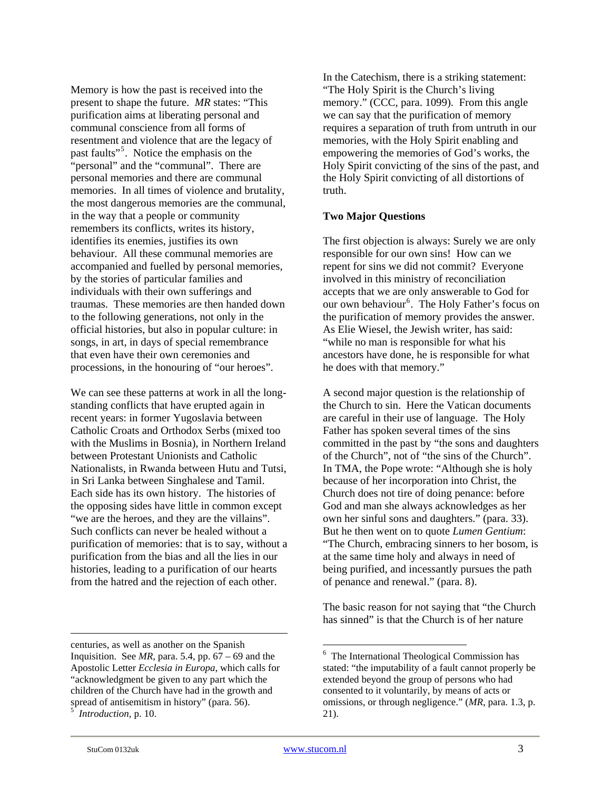Memory is how the past is received into the present to shape the future. *MR* states: "This purification aims at liberating personal and communal conscience from all forms of resentment and violence that are the legacy of past faults"<sup>[5](#page-2-0)</sup>. Notice the emphasis on the "personal" and the "communal". There are personal memories and there are communal memories. In all times of violence and brutality, the most dangerous memories are the communal, in the way that a people or community remembers its conflicts, writes its history, identifies its enemies, justifies its own behaviour. All these communal memories are accompanied and fuelled by personal memories, by the stories of particular families and individuals with their own sufferings and traumas. These memories are then handed down to the following generations, not only in the official histories, but also in popular culture: in songs, in art, in days of special remembrance that even have their own ceremonies and processions, in the honouring of "our heroes".

We can see these patterns at work in all the longstanding conflicts that have erupted again in recent years: in former Yugoslavia between Catholic Croats and Orthodox Serbs (mixed too with the Muslims in Bosnia), in Northern Ireland between Protestant Unionists and Catholic Nationalists, in Rwanda between Hutu and Tutsi, in Sri Lanka between Singhalese and Tamil. Each side has its own history. The histories of the opposing sides have little in common except "we are the heroes, and they are the villains". Such conflicts can never be healed without a purification of memories: that is to say, without a purification from the bias and all the lies in our histories, leading to a purification of our hearts from the hatred and the rejection of each other.

<span id="page-2-1"></span>1 centuries, as well as another on the Spanish Inquisition. See *MR*, para. 5.4, pp. 67 – 69 and the Apostolic Letter *Ecclesia in Europa*, which calls for "acknowledgment be given to any part which the children of the Church have had in the growth and spread of antisemitism in history" (para. 56).

<span id="page-2-0"></span>*Introduction*, p. 10.

In the Catechism, there is a striking statement: "The Holy Spirit is the Church's living memory." (CCC, para. 1099). From this angle we can say that the purification of memory requires a separation of truth from untruth in our memories, with the Holy Spirit enabling and empowering the memories of God's works, the Holy Spirit convicting of the sins of the past, and the Holy Spirit convicting of all distortions of truth.

#### **Two Major Questions**

The first objection is always: Surely we are only responsible for our own sins! How can we repent for sins we did not commit? Everyone involved in this ministry of reconciliation accepts that we are only answerable to God for our own behaviour<sup>[6](#page-2-1)</sup>. The Holy Father's focus on the purification of memory provides the answer. As Elie Wiesel, the Jewish writer, has said: "while no man is responsible for what his ancestors have done, he is responsible for what he does with that memory."

A second major question is the relationship of the Church to sin. Here the Vatican documents are careful in their use of language. The Holy Father has spoken several times of the sins committed in the past by "the sons and daughters of the Church", not of "the sins of the Church". In TMA, the Pope wrote: "Although she is holy because of her incorporation into Christ, the Church does not tire of doing penance: before God and man she always acknowledges as her own her sinful sons and daughters." (para. 33). But he then went on to quote *Lumen Gentium*: "The Church, embracing sinners to her bosom, is at the same time holy and always in need of being purified, and incessantly pursues the path of penance and renewal." (para. 8).

The basic reason for not saying that "the Church has sinned" is that the Church is of her nature

<sup>6</sup> The International Theological Commission has stated: "the imputability of a fault cannot properly be extended beyond the group of persons who had consented to it voluntarily, by means of acts or omissions, or through negligence." (*MR*, para. 1.3, p. 21).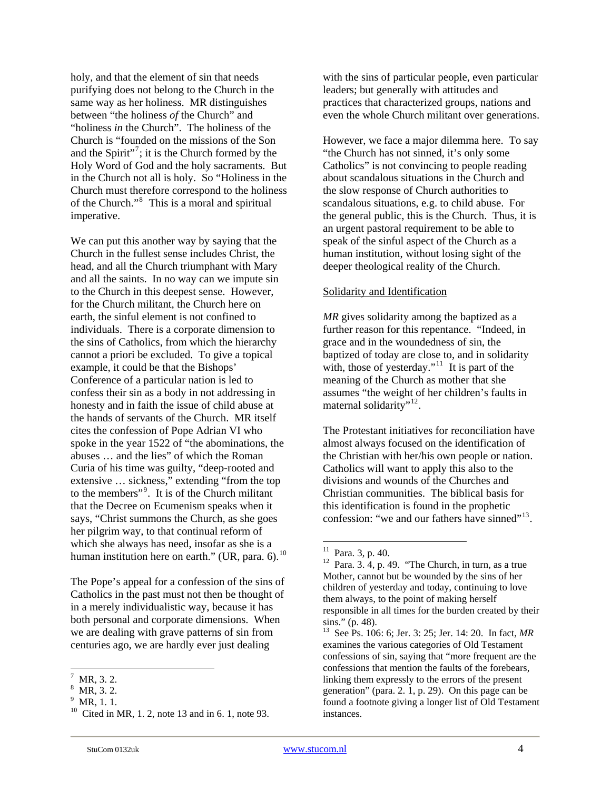holy, and that the element of sin that needs purifying does not belong to the Church in the same way as her holiness. MR distinguishes between "the holiness *of* the Church" and "holiness *in* the Church". The holiness of the Church is "founded on the missions of the Son and the Spirit"<sup>[7](#page-3-0)</sup>; it is the Church formed by the Holy Word of God and the holy sacraments. But in the Church not all is holy. So "Holiness in the Church must therefore correspond to the holiness of the Church."[8](#page-3-1) This is a moral and spiritual imperative.

We can put this another way by saying that the Church in the fullest sense includes Christ, the head, and all the Church triumphant with Mary and all the saints. In no way can we impute sin to the Church in this deepest sense. However, for the Church militant, the Church here on earth, the sinful element is not confined to individuals. There is a corporate dimension to the sins of Catholics, from which the hierarchy cannot a priori be excluded. To give a topical example, it could be that the Bishops' Conference of a particular nation is led to confess their sin as a body in not addressing in honesty and in faith the issue of child abuse at the hands of servants of the Church. MR itself cites the confession of Pope Adrian VI who spoke in the year 1522 of "the abominations, the abuses … and the lies" of which the Roman Curia of his time was guilty, "deep-rooted and extensive … sickness," extending "from the top to the members"[9](#page-3-2) . It is of the Church militant that the Decree on Ecumenism speaks when it says, "Christ summons the Church, as she goes her pilgrim way, to that continual reform of which she always has need, insofar as she is a human institution here on earth." (UR, para.  $6$ ).<sup>[10](#page-3-3)</sup>

<span id="page-3-5"></span><span id="page-3-4"></span>The Pope's appeal for a confession of the sins of Catholics in the past must not then be thought of in a merely individualistic way, because it has both personal and corporate dimensions. When we are dealing with grave patterns of sin from centuries ago, we are hardly ever just dealing

with the sins of particular people, even particular leaders; but generally with attitudes and practices that characterized groups, nations and even the whole Church militant over generations.

However, we face a major dilemma here. To say "the Church has not sinned, it's only some Catholics" is not convincing to people reading about scandalous situations in the Church and the slow response of Church authorities to scandalous situations, e.g. to child abuse. For the general public, this is the Church. Thus, it is an urgent pastoral requirement to be able to speak of the sinful aspect of the Church as a human institution, without losing sight of the deeper theological reality of the Church.

### Solidarity and Identification

*MR* gives solidarity among the baptized as a further reason for this repentance. "Indeed, in grace and in the woundedness of sin, the baptized of today are close to, and in solidarity with, those of yesterday."<sup>[11](#page-3-4)</sup> It is part of the meaning of the Church as mother that she assumes "the weight of her children's faults in maternal solidarity"<sup>[12](#page-3-5)</sup>.

The Protestant initiatives for reconciliation have almost always focused on the identification of the Christian with her/his own people or nation. Catholics will want to apply this also to the divisions and wounds of the Churches and Christian communities. The biblical basis for this identification is found in the prophetic confession: "we and our fathers have sinned"<sup>[13](#page-3-6)</sup>.

<span id="page-3-6"></span><sup>1</sup> 7 MR, 3. 2.

<span id="page-3-1"></span><span id="page-3-0"></span><sup>8</sup> MR, 3. 2.

<span id="page-3-2"></span><sup>9</sup> MR, 1. 1.

<span id="page-3-3"></span> $10$  Cited in MR, 1. 2, note 13 and in 6. 1, note 93.

 $11\,$ Para. 3, p. 40.

 $12$  Para. 3. 4, p. 49. "The Church, in turn, as a true Mother, cannot but be wounded by the sins of her children of yesterday and today, continuing to love them always, to the point of making herself responsible in all times for the burden created by their sins." (p. 48).

<sup>13</sup> See Ps. 106: 6; Jer. 3: 25; Jer. 14: 20. In fact, *MR*  examines the various categories of Old Testament confessions of sin, saying that "more frequent are the confessions that mention the faults of the forebears, linking them expressly to the errors of the present generation" (para. 2. 1, p. 29). On this page can be found a footnote giving a longer list of Old Testament instances.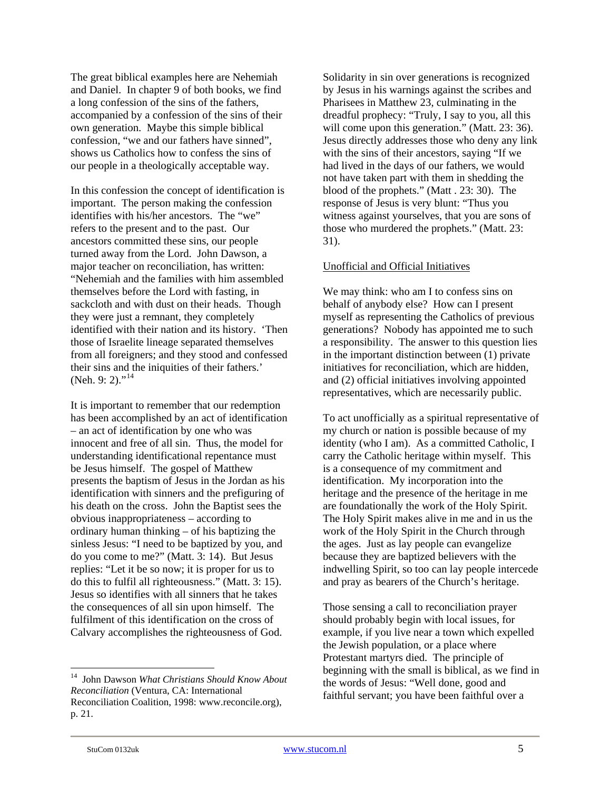The great biblical examples here are Nehemiah and Daniel. In chapter 9 of both books, we find a long confession of the sins of the fathers, accompanied by a confession of the sins of their own generation. Maybe this simple biblical confession, "we and our fathers have sinned", shows us Catholics how to confess the sins of our people in a theologically acceptable way.

In this confession the concept of identification is important. The person making the confession identifies with his/her ancestors. The "we" refers to the present and to the past. Our ancestors committed these sins, our people turned away from the Lord. John Dawson, a major teacher on reconciliation, has written: "Nehemiah and the families with him assembled themselves before the Lord with fasting, in sackcloth and with dust on their heads. Though they were just a remnant, they completely identified with their nation and its history. 'Then those of Israelite lineage separated themselves from all foreigners; and they stood and confessed their sins and the iniquities of their fathers.' (Neh. 9: 2)."<sup>[14](#page-4-0)</sup>

It is important to remember that our redemption has been accomplished by an act of identification – an act of identification by one who was innocent and free of all sin. Thus, the model for understanding identificational repentance must be Jesus himself. The gospel of Matthew presents the baptism of Jesus in the Jordan as his identification with sinners and the prefiguring of his death on the cross. John the Baptist sees the obvious inappropriateness – according to ordinary human thinking – of his baptizing the sinless Jesus: "I need to be baptized by you, and do you come to me?" (Matt. 3: 14). But Jesus replies: "Let it be so now; it is proper for us to do this to fulfil all righteousness." (Matt. 3: 15). Jesus so identifies with all sinners that he takes the consequences of all sin upon himself. The fulfilment of this identification on the cross of Calvary accomplishes the righteousness of God.

Solidarity in sin over generations is recognized by Jesus in his warnings against the scribes and Pharisees in Matthew 23, culminating in the dreadful prophecy: "Truly, I say to you, all this will come upon this generation." (Matt. 23: 36). Jesus directly addresses those who deny any link with the sins of their ancestors, saying "If we had lived in the days of our fathers, we would not have taken part with them in shedding the blood of the prophets." (Matt . 23: 30). The response of Jesus is very blunt: "Thus you witness against yourselves, that you are sons of those who murdered the prophets." (Matt. 23: 31).

### Unofficial and Official Initiatives

We may think: who am I to confess sins on behalf of anybody else? How can I present myself as representing the Catholics of previous generations? Nobody has appointed me to such a responsibility. The answer to this question lies in the important distinction between (1) private initiatives for reconciliation, which are hidden, and (2) official initiatives involving appointed representatives, which are necessarily public.

To act unofficially as a spiritual representative of my church or nation is possible because of my identity (who I am). As a committed Catholic, I carry the Catholic heritage within myself. This is a consequence of my commitment and identification. My incorporation into the heritage and the presence of the heritage in me are foundationally the work of the Holy Spirit. The Holy Spirit makes alive in me and in us the work of the Holy Spirit in the Church through the ages. Just as lay people can evangelize because they are baptized believers with the indwelling Spirit, so too can lay people intercede and pray as bearers of the Church's heritage.

Those sensing a call to reconciliation prayer should probably begin with local issues, for example, if you live near a town which expelled the Jewish population, or a place where Protestant martyrs died. The principle of beginning with the small is biblical, as we find in the words of Jesus: "Well done, good and faithful servant; you have been faithful over a

1

<span id="page-4-0"></span><sup>14</sup> John Dawson *What Christians Should Know About Reconciliation* (Ventura, CA: International Reconciliation Coalition, 1998: www.reconcile.org), p. 21.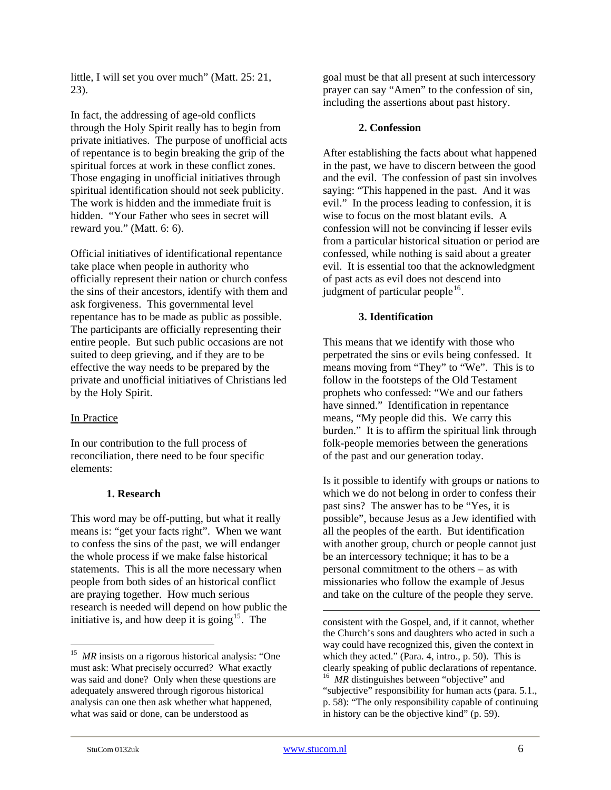little, I will set you over much" (Matt. 25: 21, 23).

In fact, the addressing of age-old conflicts through the Holy Spirit really has to begin from private initiatives. The purpose of unofficial acts of repentance is to begin breaking the grip of the spiritual forces at work in these conflict zones. Those engaging in unofficial initiatives through spiritual identification should not seek publicity. The work is hidden and the immediate fruit is hidden. "Your Father who sees in secret will reward you." (Matt. 6: 6).

Official initiatives of identificational repentance take place when people in authority who officially represent their nation or church confess the sins of their ancestors, identify with them and ask forgiveness. This governmental level repentance has to be made as public as possible. The participants are officially representing their entire people. But such public occasions are not suited to deep grieving, and if they are to be effective the way needs to be prepared by the private and unofficial initiatives of Christians led by the Holy Spirit.

## In Practice

In our contribution to the full process of reconciliation, there need to be four specific elements:

## **1. Research**

This word may be off-putting, but what it really means is: "get your facts right". When we want to confess the sins of the past, we will endanger the whole process if we make false historical statements. This is all the more necessary when people from both sides of an historical conflict are praying together. How much serious research is needed will depend on how public the initiative is, and how deep it is going<sup>[15](#page-5-0)</sup>. The

goal must be that all present at such intercessory prayer can say "Amen" to the confession of sin, including the assertions about past history.

### **2. Confession**

After establishing the facts about what happened in the past, we have to discern between the good and the evil. The confession of past sin involves saying: "This happened in the past. And it was evil." In the process leading to confession, it is wise to focus on the most blatant evils. A confession will not be convincing if lesser evils from a particular historical situation or period are confessed, while nothing is said about a greater evil. It is essential too that the acknowledgment of past acts as evil does not descend into judgment of particular people<sup>[16](#page-5-1)</sup>.

### **3. Identification**

This means that we identify with those who perpetrated the sins or evils being confessed. It means moving from "They" to "We". This is to follow in the footsteps of the Old Testament prophets who confessed: "We and our fathers have sinned." Identification in repentance means, "My people did this. We carry this burden." It is to affirm the spiritual link through folk-people memories between the generations of the past and our generation today.

Is it possible to identify with groups or nations to which we do not belong in order to confess their past sins? The answer has to be "Yes, it is possible", because Jesus as a Jew identified with all the peoples of the earth. But identification with another group, church or people cannot just be an intercessory technique; it has to be a personal commitment to the others – as with missionaries who follow the example of Jesus and take on the culture of the people they serve.

1

<span id="page-5-1"></span><span id="page-5-0"></span><sup>&</sup>lt;sup>15</sup> *MR* insists on a rigorous historical analysis: "One must ask: What precisely occurred? What exactly was said and done? Only when these questions are adequately answered through rigorous historical analysis can one then ask whether what happened, what was said or done, can be understood as

 $\overline{a}$ consistent with the Gospel, and, if it cannot, whether the Church's sons and daughters who acted in such a way could have recognized this, given the context in which they acted." (Para. 4, intro., p. 50). This is clearly speaking of public declarations of repentance. 16 *MR* distinguishes between "objective" and "subjective" responsibility for human acts (para. 5.1., p. 58): "The only responsibility capable of continuing in history can be the objective kind" (p. 59).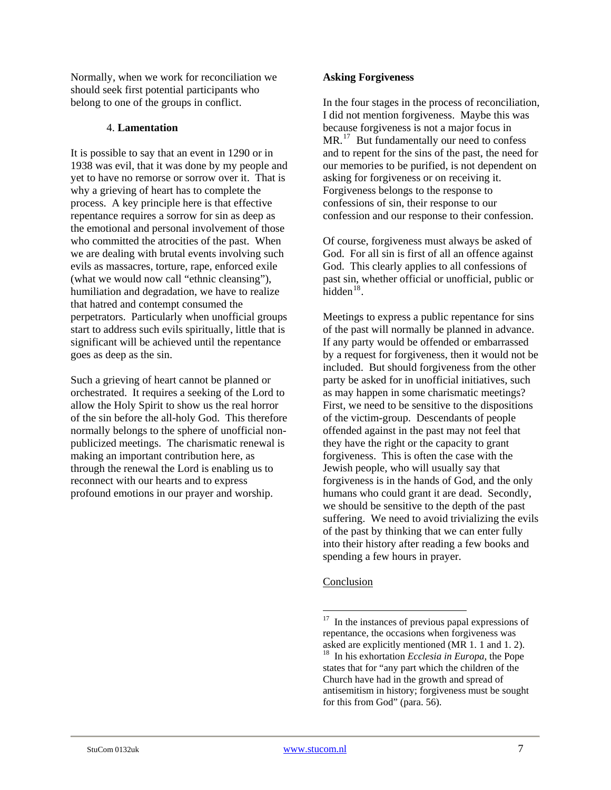Normally, when we work for reconciliation we should seek first potential participants who belong to one of the groups in conflict.

### 4. **Lamentation**

It is possible to say that an event in 1290 or in 1938 was evil, that it was done by my people and yet to have no remorse or sorrow over it. That is why a grieving of heart has to complete the process. A key principle here is that effective repentance requires a sorrow for sin as deep as the emotional and personal involvement of those who committed the atrocities of the past. When we are dealing with brutal events involving such evils as massacres, torture, rape, enforced exile (what we would now call "ethnic cleansing"), humiliation and degradation, we have to realize that hatred and contempt consumed the perpetrators. Particularly when unofficial groups start to address such evils spiritually, little that is significant will be achieved until the repentance goes as deep as the sin.

<span id="page-6-1"></span><span id="page-6-0"></span>Such a grieving of heart cannot be planned or orchestrated. It requires a seeking of the Lord to allow the Holy Spirit to show us the real horror of the sin before the all-holy God. This therefore normally belongs to the sphere of unofficial nonpublicized meetings. The charismatic renewal is making an important contribution here, as through the renewal the Lord is enabling us to reconnect with our hearts and to express profound emotions in our prayer and worship.

### **Asking Forgiveness**

In the four stages in the process of reconciliation, I did not mention forgiveness. Maybe this was because forgiveness is not a major focus in MR.<sup>[17](#page-6-0)</sup> But fundamentally our need to confess and to repent for the sins of the past, the need for our memories to be purified, is not dependent on asking for forgiveness or on receiving it. Forgiveness belongs to the response to confessions of sin, their response to our confession and our response to their confession.

Of course, forgiveness must always be asked of God. For all sin is first of all an offence against God. This clearly applies to all confessions of past sin, whether official or unofficial, public or hidden $18$ .

Meetings to express a public repentance for sins of the past will normally be planned in advance. If any party would be offended or embarrassed by a request for forgiveness, then it would not be included. But should forgiveness from the other party be asked for in unofficial initiatives, such as may happen in some charismatic meetings? First, we need to be sensitive to the dispositions of the victim-group. Descendants of people offended against in the past may not feel that they have the right or the capacity to grant forgiveness. This is often the case with the Jewish people, who will usually say that forgiveness is in the hands of God, and the only humans who could grant it are dead. Secondly, we should be sensitive to the depth of the past suffering. We need to avoid trivializing the evils of the past by thinking that we can enter fully into their history after reading a few books and spending a few hours in prayer.

### Conclusion

 $\overline{a}$ 

 $17$  In the instances of previous papal expressions of repentance, the occasions when forgiveness was asked are explicitly mentioned (MR 1. 1 and 1. 2). 18 In his exhortation *Ecclesia in Europa*, the Pope states that for "any part which the children of the Church have had in the growth and spread of antisemitism in history; forgiveness must be sought for this from God" (para. 56).